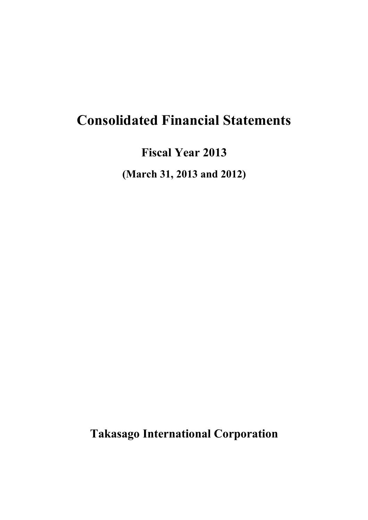# **Consolidated Financial Statements**

**Fiscal Year 2013**

**(March 31, 2013 and 2012)**

**Takasago International Corporation**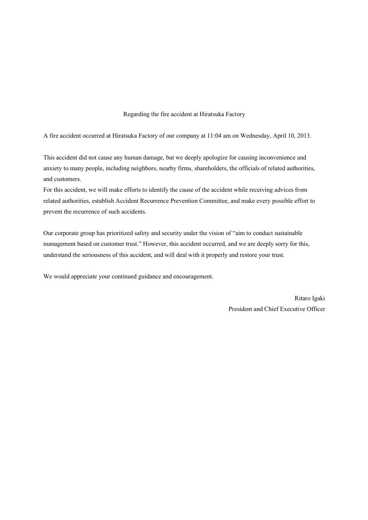## Regarding the fire accident at Hiratsuka Factory

A fire accident occurred at Hiratsuka Factory of our company at 11:04 am on Wednesday, April 10, 2013.

This accident did not cause any human damage, but we deeply apologize for causing inconvenience and anxiety to many people, including neighbors, nearby firms, shareholders, the officials of related authorities, and customers.

For this accident, we will make efforts to identify the cause of the accident while receiving advices from related authorities, establish Accident Recurrence Prevention Committee, and make every possible effort to prevent the recurrence of such accidents.

Our corporate group has prioritized safety and security under the vision of "aim to conduct sustainable management based on customer trust." However, this accident occurred, and we are deeply sorry for this, understand the seriousness of this accident, and will deal with it properly and restore your trust.

We would appreciate your continued guidance and encouragement.

Ritaro Igaki President and Chief Executive Officer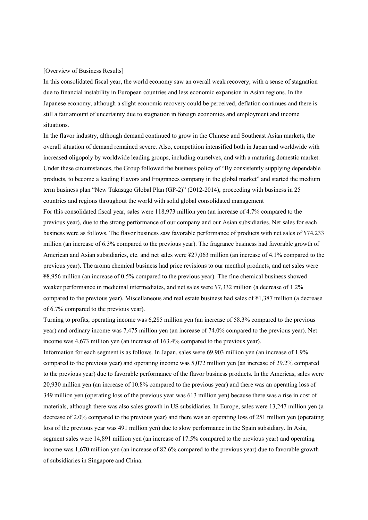#### [Overview of Business Results]

In this consolidated fiscal year, the world economy saw an overall weak recovery, with a sense of stagnation due to financial instability in European countries and less economic expansion in Asian regions. In the Japanese economy, although a slight economic recovery could be perceived, deflation continues and there is still a fair amount of uncertainty due to stagnation in foreign economies and employment and income situations.

In the flavor industry, although demand continued to grow in the Chinese and Southeast Asian markets, the overall situation of demand remained severe. Also, competition intensified both in Japan and worldwide with increased oligopoly by worldwide leading groups, including ourselves, and with a maturing domestic market. Under these circumstances, the Group followed the business policy of "By consistently supplying dependable products, to become a leading Flavors and Fragrances company in the global market" and started the medium term business plan "New Takasago Global Plan (GP-2)" (2012-2014), proceeding with business in 25 countries and regions throughout the world with solid global consolidated management For this consolidated fiscal year, sales were 118,973 million yen (an increase of 4.7% compared to the previous year), due to the strong performance of our company and our Asian subsidiaries. Net sales for each business were as follows. The flavor business saw favorable performance of products with net sales of ¥74,233 million (an increase of 6.3% compared to the previous year). The fragrance business had favorable growth of American and Asian subsidiaries, etc. and net sales were ¥27,063 million (an increase of 4.1% compared to the previous year). The aroma chemical business had price revisions to our menthol products, and net sales were ¥8,956 million (an increase of 0.5% compared to the previous year). The fine chemical business showed weaker performance in medicinal intermediates, and net sales were ¥7,332 million (a decrease of 1.2% compared to the previous year). Miscellaneous and real estate business had sales of ¥1,387 million (a decrease of 6.7% compared to the previous year).

Turning to profits, operating income was 6,285 million yen (an increase of 58.3% compared to the previous year) and ordinary income was 7,475 million yen (an increase of 74.0% compared to the previous year). Net income was 4,673 million yen (an increase of 163.4% compared to the previous year).

Information for each segment is as follows. In Japan, sales were 69,903 million yen (an increase of 1.9% compared to the previous year) and operating income was 5,072 million yen (an increase of 29.2% compared to the previous year) due to favorable performance of the flavor business products. In the Americas, sales were 20,930 million yen (an increase of 10.8% compared to the previous year) and there was an operating loss of 349 million yen (operating loss of the previous year was 613 million yen) because there was a rise in cost of materials, although there was also sales growth in US subsidiaries. In Europe, sales were 13,247 million yen (a decrease of 2.0% compared to the previous year) and there was an operating loss of 251 million yen (operating loss of the previous year was 491 million yen) due to slow performance in the Spain subsidiary. In Asia, segment sales were 14,891 million yen (an increase of 17.5% compared to the previous year) and operating income was 1,670 million yen (an increase of 82.6% compared to the previous year) due to favorable growth of subsidiaries in Singapore and China.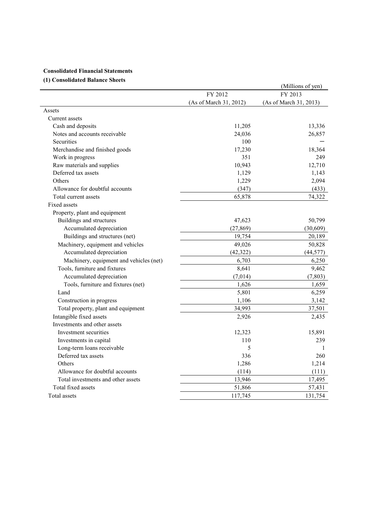# **Consolidated Financial Statements**

## **(1) Consolidated Balance Sheets**

| (1) Consonuateu dalance Sheets          |                        | (Millions of yen)      |
|-----------------------------------------|------------------------|------------------------|
|                                         | FY 2012                | FY 2013                |
|                                         | (As of March 31, 2012) | (As of March 31, 2013) |
| Assets                                  |                        |                        |
| Current assets                          |                        |                        |
| Cash and deposits                       | 11,205                 | 13,336                 |
| Notes and accounts receivable           | 24,036                 | 26,857                 |
| <b>Securities</b>                       | 100                    |                        |
| Merchandise and finished goods          | 17,230                 | 18,364                 |
| Work in progress                        | 351                    | 249                    |
| Raw materials and supplies              | 10,943                 | 12,710                 |
| Deferred tax assets                     | 1,129                  | 1,143                  |
| Others                                  | 1,229                  | 2,094                  |
| Allowance for doubtful accounts         | (347)                  | (433)                  |
| Total current assets                    | 65,878                 | 74,322                 |
| Fixed assets                            |                        |                        |
| Property, plant and equipment           |                        |                        |
| Buildings and structures                | 47,623                 | 50,799                 |
| Accumulated depreciation                | (27, 869)              | (30,609)               |
| Buildings and structures (net)          | 19,754                 | 20,189                 |
| Machinery, equipment and vehicles       | 49,026                 | 50,828                 |
| Accumulated depreciation                | (42, 322)              | (44, 577)              |
| Machinery, equipment and vehicles (net) | 6,703                  | 6,250                  |
| Tools, furniture and fixtures           | 8,641                  | 9,462                  |
| Accumulated depreciation                | (7,014)                | (7, 803)               |
| Tools, furniture and fixtures (net)     | 1,626                  | 1,659                  |
| Land                                    | 5,801                  | 6,259                  |
| Construction in progress                | 1,106                  | 3,142                  |
| Total property, plant and equipment     | 34,993                 | 37,501                 |
| Intangible fixed assets                 | 2,926                  | 2,435                  |
| Investments and other assets            |                        |                        |
| Investment securities                   | 12,323                 | 15,891                 |
| Investments in capital                  | 110                    | 239                    |
| Long-term loans receivable              | 5                      | 1                      |
| Deferred tax assets                     | 336                    | 260                    |
| Others                                  | 1,286                  | 1,214                  |
| Allowance for doubtful accounts         | (114)                  | (111)                  |
| Total investments and other assets      | 13,946                 | 17,495                 |
| Total fixed assets                      | 51,866                 | 57,431                 |
| Total assets                            | 117,745                | 131,754                |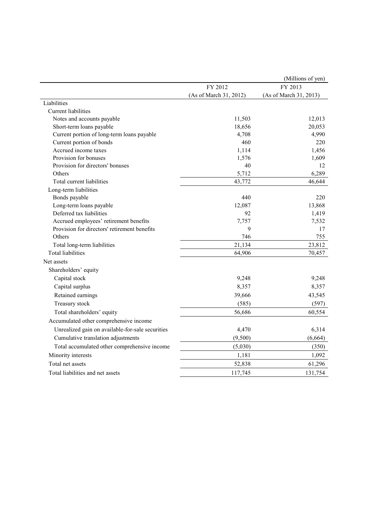|                                                  |                        | (Millions of yen)      |
|--------------------------------------------------|------------------------|------------------------|
|                                                  | FY 2012                | FY 2013                |
|                                                  | (As of March 31, 2012) | (As of March 31, 2013) |
| Liabilities                                      |                        |                        |
| <b>Current</b> liabilities                       |                        |                        |
| Notes and accounts payable                       | 11,503                 | 12,013                 |
| Short-term loans payable                         | 18,656                 | 20,053                 |
| Current portion of long-term loans payable       | 4,708                  | 4,990                  |
| Current portion of bonds                         | 460                    | 220                    |
| Accrued income taxes                             | 1,114                  | 1,456                  |
| Provision for bonuses                            | 1,576                  | 1,609                  |
| Provision for directors' bonuses                 | 40                     | 12                     |
| Others                                           | 5,712                  | 6,289                  |
| Total current liabilities                        | 43,772                 | 46,644                 |
| Long-term liabilities                            |                        |                        |
| Bonds payable                                    | 440                    | 220                    |
| Long-term loans payable                          | 12,087                 | 13,868                 |
| Deferred tax liabilities                         | 92                     | 1,419                  |
| Accrued employees' retirement benefits           | 7,757                  | 7,532                  |
| Provision for directors' retirement benefits     | 9                      | 17                     |
| Others                                           | 746                    | 755                    |
| Total long-term liabilities                      | 21,134                 | 23,812                 |
| <b>Total liabilities</b>                         | 64,906                 | 70,457                 |
| Net assets                                       |                        |                        |
| Shareholders' equity                             |                        |                        |
| Capital stock                                    | 9,248                  | 9,248                  |
| Capital surplus                                  | 8,357                  | 8,357                  |
| Retained earnings                                | 39,666                 | 43,545                 |
| Treasury stock                                   | (585)                  | (597)                  |
| Total shareholders' equity                       | 56,686                 | 60,554                 |
| Accumulated other comprehensive income           |                        |                        |
| Unrealized gain on available-for-sale securities | 4,470                  | 6,314                  |
| Cumulative translation adjustments               | (9,500)                | (6,664)                |
| Total accumulated other comprehensive income     | (5,030)                | (350)                  |
| Minority interests                               | 1,181                  | 1,092                  |
| Total net assets                                 | 52,838                 | 61,296                 |
|                                                  |                        |                        |
| Total liabilities and net assets                 | 117,745                | 131,754                |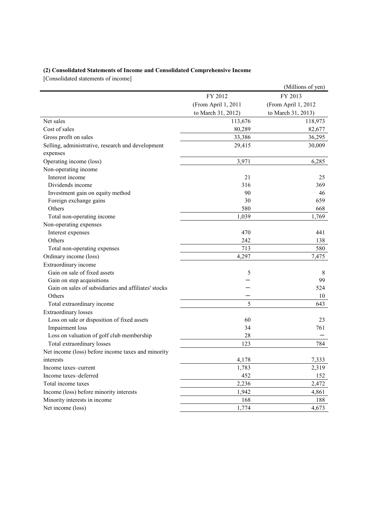# **(2) Consolidated Statements of Income and Consolidated Comprehensive Income**

[Consolidated statements of income]

|                                                      |                     | (Millions of yen)   |
|------------------------------------------------------|---------------------|---------------------|
|                                                      | FY 2012             | FY 2013             |
|                                                      | (From April 1, 2011 | (From April 1, 2012 |
|                                                      | to March 31, 2012)  | to March 31, 2013)  |
| Net sales                                            | 113,676             | 118,973             |
| Cost of sales                                        | 80,289              | 82,677              |
| Gross profit on sales                                | 33,386              | 36,295              |
| Selling, administrative, research and development    | 29,415              | 30,009              |
| expenses                                             |                     |                     |
| Operating income (loss)                              | 3,971               | 6,285               |
| Non-operating income                                 |                     |                     |
| Interest income                                      | 21                  | 25                  |
| Dividends income                                     | 316                 | 369                 |
| Investment gain on equity method                     | 90                  | 46                  |
| Foreign exchange gains                               | 30                  | 659                 |
| Others                                               | 580                 | 668                 |
| Total non-operating income                           | 1,039               | 1,769               |
| Non-operating expenses                               |                     |                     |
| Interest expenses                                    | 470                 | 441                 |
| Others                                               | 242                 | 138                 |
| Total non-operating expenses                         | 713                 | 580                 |
| Ordinary income (loss)                               | 4,297               | 7,475               |
| Extraordinary income                                 |                     |                     |
| Gain on sale of fixed assets                         | 5                   | 8                   |
| Gain on step acquisitions                            |                     | 99                  |
| Gain on sales of subsidiaries and affiliates' stocks |                     | 524                 |
| Others                                               |                     | 10                  |
| Total extraordinary income                           | 5                   | 643                 |
| <b>Extraordinary losses</b>                          |                     |                     |
| Loss on sale or disposition of fixed assets          | 60                  | 23                  |
| Impairment loss                                      | 34                  | 761                 |
| Loss on valuation of golf club membership            | 28                  |                     |
| Total extraordinary losses                           | 123                 | 784                 |
| Net income (loss) before income taxes and minority   |                     |                     |
| interests                                            | 4,178               | 7,333               |
| Income taxes-current                                 | 1,783               | 2,319               |
| Income taxes-deferred                                | 452                 | 152                 |
| Total income taxes                                   | 2,236               | 2,472               |
| Income (loss) before minority interests              | 1,942               | 4,861               |
| Minority interests in income                         | 168                 | 188                 |
| Net income (loss)                                    | 1,774               | 4,673               |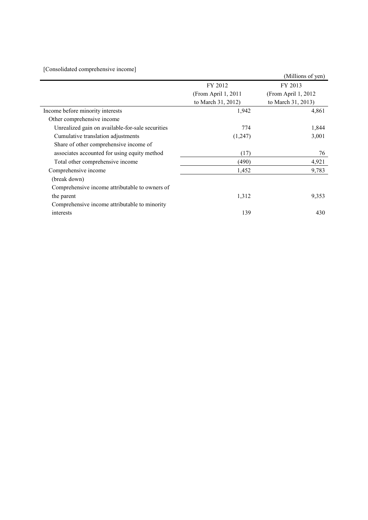| [Consolidated comprehensive income]              |                     |                      |  |
|--------------------------------------------------|---------------------|----------------------|--|
|                                                  |                     | (Millions of yen)    |  |
|                                                  | FY 2012             | FY 2013              |  |
|                                                  | (From April 1, 2011 | (From April 1, 2012) |  |
|                                                  | to March 31, 2012)  | to March 31, 2013)   |  |
| Income before minority interests                 | 1,942               | 4,861                |  |
| Other comprehensive income                       |                     |                      |  |
| Unrealized gain on available-for-sale securities | 774                 | 1,844                |  |
| Cumulative translation adjustments               | (1,247)             | 3,001                |  |
| Share of other comprehensive income of           |                     |                      |  |
| associates accounted for using equity method     | (17)                | 76                   |  |
| Total other comprehensive income                 | (490)               | 4,921                |  |
| Comprehensive income                             | 1,452               | 9,783                |  |
| (break down)                                     |                     |                      |  |
| Comprehensive income attributable to owners of   |                     |                      |  |
| the parent                                       | 1,312               | 9,353                |  |
| Comprehensive income attributable to minority    |                     |                      |  |
| interests                                        | 139                 | 430                  |  |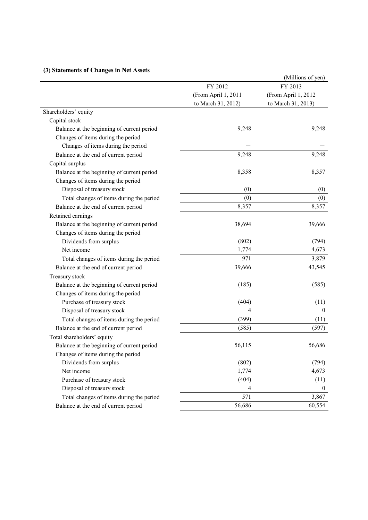|                                            |                     | (Millions of yen)   |
|--------------------------------------------|---------------------|---------------------|
|                                            | FY 2012             | FY 2013             |
|                                            | (From April 1, 2011 | (From April 1, 2012 |
|                                            | to March 31, 2012)  | to March 31, 2013)  |
| Shareholders' equity                       |                     |                     |
| Capital stock                              |                     |                     |
| Balance at the beginning of current period | 9,248               | 9,248               |
| Changes of items during the period         |                     |                     |
| Changes of items during the period         |                     |                     |
| Balance at the end of current period       | 9,248               | 9,248               |
| Capital surplus                            |                     |                     |
| Balance at the beginning of current period | 8,358               | 8,357               |
| Changes of items during the period         |                     |                     |
| Disposal of treasury stock                 | (0)                 | (0)                 |
| Total changes of items during the period   | (0)                 | (0)                 |
| Balance at the end of current period       | 8,357               | 8,357               |
| Retained earnings                          |                     |                     |
| Balance at the beginning of current period | 38,694              | 39,666              |
| Changes of items during the period         |                     |                     |
| Dividends from surplus                     | (802)               | (794)               |
| Net income                                 | 1,774               | 4,673               |
| Total changes of items during the period   | 971                 | 3,879               |
| Balance at the end of current period       | 39,666              | 43,545              |
| Treasury stock                             |                     |                     |
| Balance at the beginning of current period | (185)               | (585)               |
| Changes of items during the period         |                     |                     |
| Purchase of treasury stock                 | (404)               | (11)                |
| Disposal of treasury stock                 | 4                   | $\boldsymbol{0}$    |
| Total changes of items during the period   | (399)               | (11)                |
| Balance at the end of current period       | (585)               | (597)               |
| Total shareholders' equity                 |                     |                     |
| Balance at the beginning of current period | 56,115              | 56,686              |
| Changes of items during the period         |                     |                     |
| Dividends from surplus                     | (802)               | (794)               |
| Net income                                 | 1,774               | 4,673               |
| Purchase of treasury stock                 | (404)               | (11)                |
| Disposal of treasury stock                 | 4                   | $\boldsymbol{0}$    |
| Total changes of items during the period   | 571                 | 3,867               |
| Balance at the end of current period       | 56,686              | 60,554              |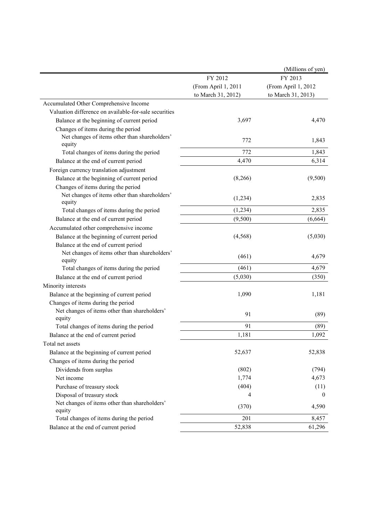|                                                         |                     | (Millions of yen)   |
|---------------------------------------------------------|---------------------|---------------------|
|                                                         | FY 2012             | FY 2013             |
|                                                         | (From April 1, 2011 | (From April 1, 2012 |
|                                                         | to March 31, 2012)  | to March 31, 2013)  |
| Accumulated Other Comprehensive Income                  |                     |                     |
| Valuation difference on available-for-sale securities   |                     |                     |
| Balance at the beginning of current period              | 3,697               | 4,470               |
| Changes of items during the period                      |                     |                     |
| Net changes of items other than shareholders'<br>equity | 772                 | 1,843               |
| Total changes of items during the period                | 772                 | 1,843               |
| Balance at the end of current period                    | 4,470               | 6,314               |
| Foreign currency translation adjustment                 |                     |                     |
| Balance at the beginning of current period              | (8,266)             | (9,500)             |
| Changes of items during the period                      |                     |                     |
| Net changes of items other than shareholders'<br>equity | (1,234)             | 2,835               |
| Total changes of items during the period                | (1,234)             | 2,835               |
| Balance at the end of current period                    | (9,500)             | (6,664)             |
| Accumulated other comprehensive income                  |                     |                     |
| Balance at the beginning of current period              | (4, 568)            | (5,030)             |
| Balance at the end of current period                    |                     |                     |
| Net changes of items other than shareholders'<br>equity | (461)               | 4,679               |
| Total changes of items during the period                | (461)               | 4,679               |
| Balance at the end of current period                    | (5,030)             | (350)               |
| Minority interests                                      |                     |                     |
| Balance at the beginning of current period              | 1,090               | 1,181               |
| Changes of items during the period                      |                     |                     |
| Net changes of items other than shareholders'<br>equity | 91                  | (89)                |
| Total changes of items during the period                | 91                  | (89)                |
| Balance at the end of current period                    | 1,181               | 1,092               |
| Total net assets                                        |                     |                     |
| Balance at the beginning of current period              | 52,637              | 52,838              |
| Changes of items during the period                      |                     |                     |
| Dividends from surplus                                  | (802)               | (794)               |
| Net income                                              | 1,774               | 4,673               |
| Purchase of treasury stock                              | (404)               | (11)                |
| Disposal of treasury stock                              | 4                   | $\mathbf{0}$        |
| Net changes of items other than shareholders'<br>equity | (370)               | 4,590               |
| Total changes of items during the period                | 201                 | 8,457               |
| Balance at the end of current period                    | 52,838              | 61,296              |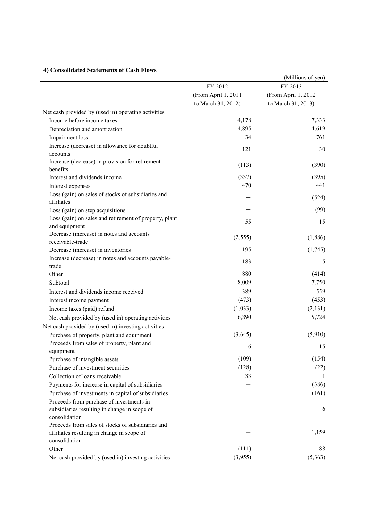# **4) Consolidated Statements of Cash Flows**

|                                                                                                 |                     | (Millions of yen)   |
|-------------------------------------------------------------------------------------------------|---------------------|---------------------|
|                                                                                                 | FY 2012             | FY 2013             |
|                                                                                                 | (From April 1, 2011 | (From April 1, 2012 |
|                                                                                                 | to March 31, 2012)  | to March 31, 2013)  |
| Net cash provided by (used in) operating activities                                             |                     |                     |
| Income before income taxes                                                                      | 4,178               | 7,333               |
| Depreciation and amortization                                                                   | 4,895               | 4,619               |
| Impairment loss                                                                                 | 34                  | 761                 |
| Increase (decrease) in allowance for doubtful                                                   |                     |                     |
| accounts                                                                                        | 121                 | 30                  |
| Increase (decrease) in provision for retirement                                                 |                     |                     |
| benefits                                                                                        | (113)               | (390)               |
| Interest and dividends income                                                                   | (337)               | (395)               |
| Interest expenses                                                                               | 470                 | 441                 |
| Loss (gain) on sales of stocks of subsidiaries and<br>affiliates                                |                     | (524)               |
| Loss (gain) on step acquisitions                                                                |                     | (99)                |
| Loss (gain) on sales and retirement of property, plant                                          | 55                  | 15                  |
| and equipment                                                                                   |                     |                     |
| Decrease (increase) in notes and accounts                                                       | (2, 555)            | (1,886)             |
| receivable-trade                                                                                |                     |                     |
| Decrease (increase) in inventories                                                              | 195                 | (1,745)             |
| Increase (decrease) in notes and accounts payable-<br>trade                                     | 183                 | 5                   |
| Other                                                                                           | 880                 | (414)               |
| Subtotal                                                                                        | 8,009               | 7,750               |
| Interest and dividends income received                                                          | 389                 | 559                 |
| Interest income payment                                                                         | (473)               | (453)               |
| Income taxes (paid) refund                                                                      | (1,033)             | (2, 131)            |
| Net cash provided by (used in) operating activities                                             | 6,890               | 5,724               |
| Net cash provided by (used in) investing activities                                             |                     |                     |
| Purchase of property, plant and equipment                                                       | (3,645)             | (5,910)             |
| Proceeds from sales of property, plant and                                                      | 6                   | 15                  |
| equipment                                                                                       |                     |                     |
| Purchase of intangible assets                                                                   | (109)               | (154)               |
| Purchase of investment securities                                                               | (128)               | (22)                |
| Collection of loans receivable                                                                  | 33                  | 1                   |
| Payments for increase in capital of subsidiaries                                                |                     | (386)               |
| Purchase of investments in capital of subsidiaries                                              |                     | (161)               |
| Proceeds from purchase of investments in                                                        |                     |                     |
| subsidiaries resulting in change in scope of<br>consolidation                                   |                     | 6                   |
| Proceeds from sales of stocks of subsidiaries and<br>affiliates resulting in change in scope of |                     | 1,159               |
| consolidation                                                                                   | (111)               | 88                  |
| Other                                                                                           |                     |                     |
| Net cash provided by (used in) investing activities                                             | (3,955)             | (5,363)             |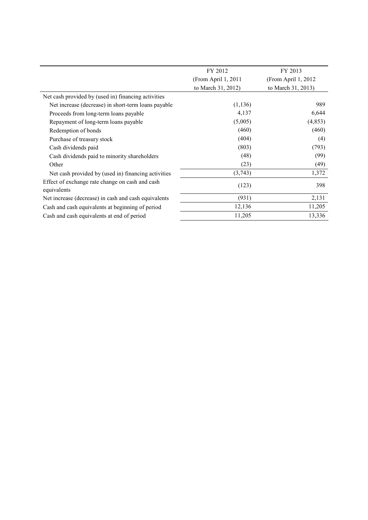|                                                                | FY 2012             | FY 2013              |  |
|----------------------------------------------------------------|---------------------|----------------------|--|
|                                                                | (From April 1, 2011 | (From April 1, 2012) |  |
|                                                                | to March 31, 2012)  | to March 31, 2013)   |  |
| Net cash provided by (used in) financing activities            |                     |                      |  |
| Net increase (decrease) in short-term loans payable            | (1, 136)            | 989                  |  |
| Proceeds from long-term loans payable                          | 4,137               | 6,644                |  |
| Repayment of long-term loans payable                           | (5,005)             | (4,853)              |  |
| Redemption of bonds                                            | (460)               | (460)                |  |
| Purchase of treasury stock                                     | (404)               | (4)                  |  |
| Cash dividends paid                                            | (803)               | (793)                |  |
| Cash dividends paid to minority shareholders                   | (48)                | (99)                 |  |
| Other                                                          | (23)                | (49)                 |  |
| Net cash provided by (used in) financing activities            | (3,743)             | 1,372                |  |
| Effect of exchange rate change on cash and cash<br>equivalents | (123)               | 398                  |  |
| Net increase (decrease) in cash and cash equivalents           | (931)               | 2,131                |  |
| Cash and cash equivalents at beginning of period               | 12,136              | 11,205               |  |
| Cash and cash equivalents at end of period                     | 11,205              | 13,336               |  |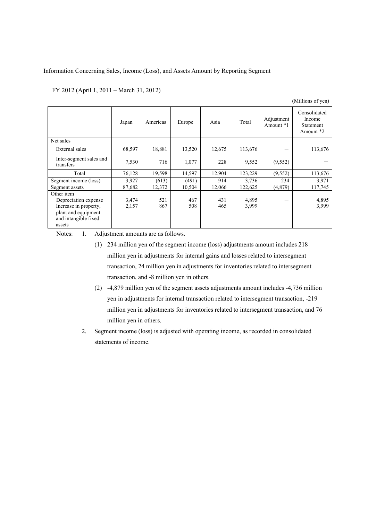#### Information Concerning Sales, Income (Loss), and Assets Amount by Reporting Segment

|                                                                                                                      |                |            |            |            |                |                         | (Millions of yen)                                       |
|----------------------------------------------------------------------------------------------------------------------|----------------|------------|------------|------------|----------------|-------------------------|---------------------------------------------------------|
|                                                                                                                      | Japan          | Americas   | Europe     | Asia       | Total          | Adjustment<br>Amount *1 | Consolidated<br>Income<br><b>Statement</b><br>Amount *2 |
| Net sales                                                                                                            |                |            |            |            |                |                         |                                                         |
| External sales                                                                                                       | 68,597         | 18,881     | 13,520     | 12,675     | 113,676        |                         | 113,676                                                 |
| Inter-segment sales and<br>transfers                                                                                 | 7,530          | 716        | 1,077      | 228        | 9,552          | (9, 552)                |                                                         |
| Total                                                                                                                | 76,128         | 19,598     | 14,597     | 12,904     | 123,229        | (9, 552)                | 113,676                                                 |
| Segment income (loss)                                                                                                | 3,927          | (613)      | (491)      | 914        | 3,736          | 234                     | 3,971                                                   |
| Segment assets                                                                                                       | 87,682         | 12,372     | 10,504     | 12,066     | 122,625        | (4, 879)                | 117,745                                                 |
| Other item<br>Depreciation expense<br>Increase in property,<br>plant and equipment<br>and intangible fixed<br>assets | 3,474<br>2,157 | 521<br>867 | 467<br>508 | 431<br>465 | 4,895<br>3,999 | –                       | 4,895<br>3,999                                          |

Notes: 1. Adjustment amounts are as follows.

- (1) 234 million yen of the segment income (loss) adjustments amount includes 218 million yen in adjustments for internal gains and losses related to intersegment transaction, 24 million yen in adjustments for inventories related to intersegment transaction, and -8 million yen in others.
- (2) -4,879 million yen of the segment assets adjustments amount includes -4,736 million yen in adjustments for internal transaction related to intersegment transaction, -219 million yen in adjustments for inventories related to intersegment transaction, and 76 million yen in others.
- 2. Segment income (loss) is adjusted with operating income, as recorded in consolidated statements of income.